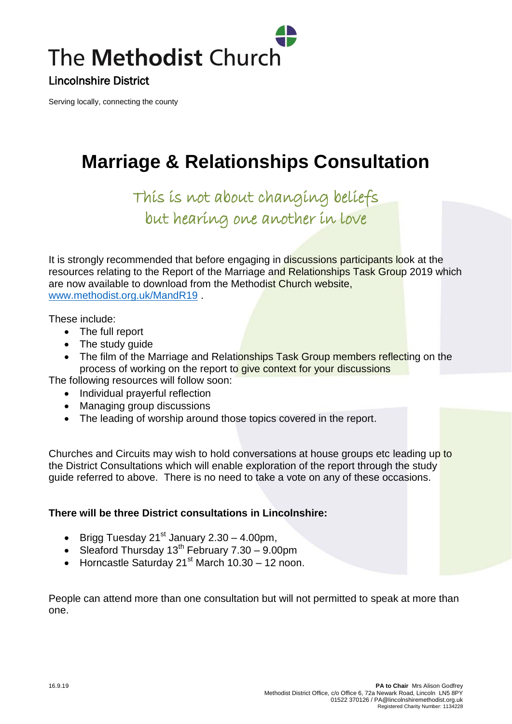

Lincolnshire District

Serving locally, connecting the county

## **Marriage & Relationships Consultation**

This is not about changing beliefs but hearing one another in love

It is strongly recommended that before engaging in discussions participants look at the resources relating to the Report of the Marriage and Relationships Task Group 2019 which are now available to download from the Methodist Church website, [www.methodist.org.uk/MandR19](http://www.methodist.org.uk/MandR19) .

These include:

- The full report
- The study guide
- The film of the Marriage and Relationships Task Group members reflecting on the process of working on the report to give context for your discussions

The following resources will follow soon:

- Individual prayerful reflection
- Managing group discussions
- The leading of worship around those topics covered in the report.

Churches and Circuits may wish to hold conversations at house groups etc leading up to the District Consultations which will enable exploration of the report through the study guide referred to above. There is no need to take a vote on any of these occasions.

## **There will be three District consultations in Lincolnshire:**

- Brigg Tuesday  $21^{st}$  January 2.30 4.00pm,
- Sleaford Thursday  $13^{th}$  February  $7.30 9.00$ pm
- $\bullet$  Horncastle Saturday 21<sup>st</sup> March 10.30 12 noon.

People can attend more than one consultation but will not permitted to speak at more than one.